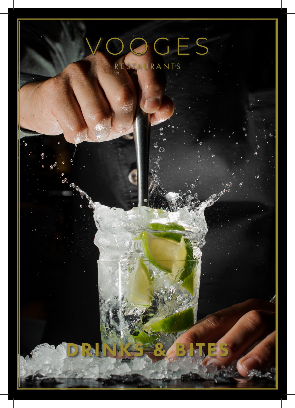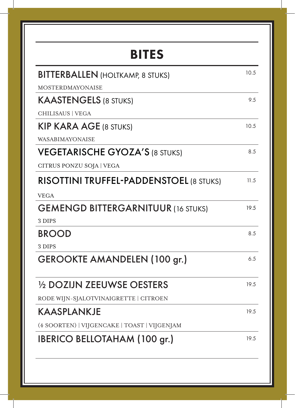| <b>BITES</b>                                   |      |
|------------------------------------------------|------|
| <b>BITTERBALLEN</b> (HOLTKAMP, 8 STUKS)        | 10.5 |
| <b>MOSTERDMAYONAISE</b>                        |      |
| <b>KAASTENGELS (8 STUKS)</b>                   | 9.5  |
| CHILISAUS   VEGA                               |      |
| <b>KIP KARA AGE (8 STUKS)</b>                  | 10.5 |
| WASABIMAYONAISE                                |      |
| <b>VEGETARISCHE GYOZA'S (8 STUKS)</b>          | 8.5  |
| CITRUS PONZU SOJA   VEGA                       |      |
| <b>RISOTTINI TRUFFEL-PADDENSTOEL (8 STUKS)</b> | 11.5 |
| <b>VEGA</b>                                    |      |
| <b>GEMENGD BITTERGARNITUUR (16 STUKS)</b>      | 19.5 |
| 3 DIPS                                         |      |
| <b>BROOD</b>                                   | 8.5  |
| 3 DIPS                                         |      |
| <b>GEROOKTE AMANDELEN (100 gr.)</b>            | 6.5  |
| 1/2 DOZIJN ZEEUWSE OESTERS                     | 19.5 |
| RODE WIJN-SJALOTVINAIGRETTE   CITROEN          |      |
| <b>KAASPLANKJE</b>                             | 19.5 |
| (4 SOORTEN)   VIJGENCAKE   TOAST   VIJGENJAM   |      |
| <b>IBERICO BELLOTAHAM (100 gr.)</b>            | 19.5 |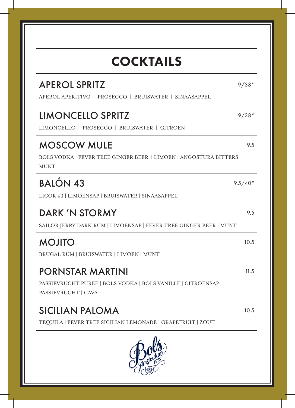| <b>COCKTAILS</b>                                                                                       |           |
|--------------------------------------------------------------------------------------------------------|-----------|
| <b>APEROL SPRITZ</b><br>APEROL APERITIVO   PROSECCO   BRUISWATER   SINAASAPPEL                         | $9/38*$   |
| <b>LIMONCELLO SPRITZ</b><br>LIMONCELLO   PROSECCO   BRUISWATER   CITROEN                               | $9/38*$   |
| <b>MOSCOW MULE</b><br>BOLS VODKA   FEVER TREE GINGER BEER   LIMOEN   ANGOSTURA BITTERS<br>MUNT         | 9.5       |
| <b>BALÓN 43</b><br>LICOR 43   LIMOENSAP   BRUISWATER   SINAASAPPEL                                     | $9.5/40*$ |
| DARK 'N STORMY<br>SAILOR JERRY DARK RUM   LIMOENSAP   FEVER TREE GINGER BEER   MUNT                    | 9.5       |
| <b>MOJITO</b><br>BRUGAL RUM   BRUISWATER   LIMOEN   MUNT                                               | 10.5      |
| PORNSTAR MARTINI<br>PASSIEVRUCHT PUREE   BOLS VODKA   BOLS VANILLE   CITROENSAP<br>PASSIEVRUCHT   CAVA | 11.5      |
| <b>SICILIAN PALOMA</b><br>TEQUILA   FEVER TREE SICILIAN LEMONADE   GRAPEFRUIT   ZOUT                   | 10.5      |
|                                                                                                        |           |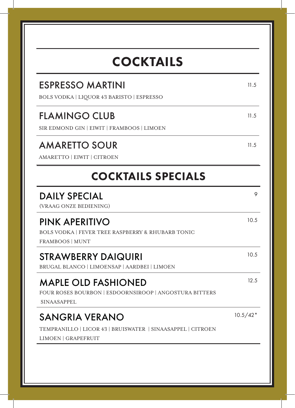| <b>COCKTAILS</b>                                                                                            |            |
|-------------------------------------------------------------------------------------------------------------|------------|
| <b>ESPRESSO MARTINI</b><br><b>BOLS VODKA   LIQUOR 43 BARISTO   ESPRESSO</b>                                 | 11.5       |
| <b>FLAMINGO CLUB</b><br>SIR EDMOND GIN   EIWIT   FRAMBOOS   LIMOEN                                          | 11.5       |
| <b>AMARETTO SOUR</b><br>AMARETTO   EIWIT   CITROEN                                                          | 11.5       |
| <b>COCKTAILS SPECIALS</b>                                                                                   |            |
| <b>DAILY SPECIAL</b><br>(VRAAG ONZE BEDIENING)                                                              | 9          |
| PINK APERITIVO<br><b>BOLS VODKA   FEVER TREE RASPBERRY &amp; RHUBARB TONIC</b><br>FRAMBOOS   MUNT           | 10.5       |
| <b>STRAWBERRY DAIQUIRI</b><br>BRUGAL BLANCO   LIMOENSAP   AARDBEI   LIMOEN                                  | 10.5       |
| <b>MAPLE OLD FASHIONED</b><br>FOUR ROSES BOURBON   ESDOORNSIROOP   ANGOSTURA BITTERS<br><b>SINAASAPPEL</b>  | 12.5       |
| <b>SANGRIA VERANO</b><br>TEMPRANILLO   LICOR 43   BRUISWATER   SINAASAPPEL   CITROEN<br>LIMOEN   GRAPEFRUIT | $10.5/42*$ |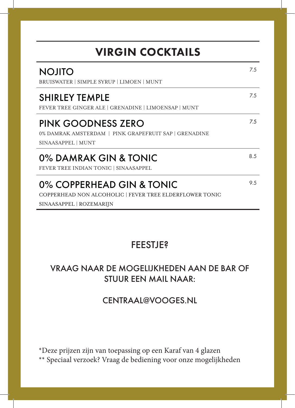| <b>VIRGIN COCKTAILS</b>                                                                                          |     |  |
|------------------------------------------------------------------------------------------------------------------|-----|--|
| <b>NOJITO</b><br>BRUISWATER   SIMPLE SYRUP   LIMOEN   MUNT                                                       | 7.5 |  |
| <b>SHIRLEY TEMPLE</b><br>FEVER TREE GINGER ALE   GRENADINE   LIMOENSAP   MUNT                                    | 7.5 |  |
| PINK GOODNESS ZERO<br>0% DAMRAK AMSTERDAM   PINK GRAPEFRUIT SAP   GRENADINE<br>SINAASAPPEL   MUNT                | 7.5 |  |
| 0% DAMRAK GIN & TONIC<br>FEVER TREE INDIAN TONIC   SINAASAPPEL                                                   | 8.5 |  |
| 0% COPPERHEAD GIN & TONIC<br>COPPERHEAD NON ALCOHOLIC   FEVER TREE ELDERFLOWER TONIC<br>SINAASAPPEL   ROZEMARIJN | 9.5 |  |

### FEESTJE?

### VRAAG NAAR DE MOGELIJKHEDEN AAN DE BAR OF STUUR EEN MAIL NAAR:

#### CENTRAAL@VOOGES.NL

\*Deze prijzen zijn van toepassing op een Karaf van 4 glazen \*\* Speciaal verzoek? Vraag de bediening voor onze mogelijkheden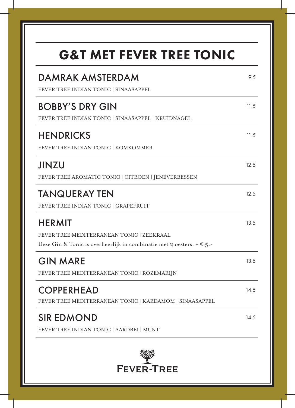# G&T MET FEVER TREE TONIC

| <b>DAMRAK AMSTERDAM</b><br>FEVER TREE INDIAN TONIC   SINAASAPPEL                                                                             | 9.5  |
|----------------------------------------------------------------------------------------------------------------------------------------------|------|
| <b>BOBBY'S DRY GIN</b><br>FEVER TREE INDIAN TONIC   SINAASAPPEL   KRUIDNAGEL                                                                 | 11.5 |
| <b>HENDRICKS</b><br>FEVER TREE INDIAN TONIC   KOMKOMMER                                                                                      | 11.5 |
| <b>JINZU</b><br>FEVER TREE AROMATIC TONIC   CITROEN   JENEVERBESSEN                                                                          | 12.5 |
| <b>TANQUERAY TEN</b><br>FEVER TREE INDIAN TONIC   GRAPEFRUIT                                                                                 | 12.5 |
| <b>HERMIT</b><br>FEVER TREE MEDITERRANEAN TONIC   ZEEKRAAL<br>Deze Gin & Tonic is overheerlijk in combinatie met 2 oesters. $+ \epsilon$ 5.- | 13.5 |
| <b>GIN MARE</b><br>FEVER TREE MEDITERRANEAN TONIC   ROZEMARIJN                                                                               | 13.5 |
| <b>COPPERHEAD</b><br>FEVER TREE MEDITERRANEAN TONIC   KARDAMOM   SINAASAPPEL                                                                 | 14.5 |
| <b>SIR EDMOND</b><br>FEVER TREE INDIAN TONIC   AARDBEI   MUNT                                                                                | 14.5 |
| <b>FEVER-TREE</b>                                                                                                                            |      |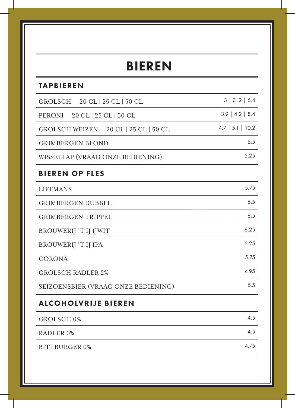### BIEREN

#### TAPBIEREN

| GROLSCH 20 CL   25 CL   50 CL          | 3   3.2   6.4      |
|----------------------------------------|--------------------|
| 20 CL   25 CL   50 CL<br><b>PERONI</b> | $3.9$   4.2   8.4  |
| GROLSCH WEIZEN 20 CL   25 CL   50 CL   | $4.7$   5.1   10.2 |
| <b>GRIMBERGEN BLOND</b>                | 5.5                |
| WISSELTAP (VRAAG ONZE BEDIENING)       | 5.25               |
| <b>BIEREN OP FLES</b>                  |                    |
| <b>LIEFMANS</b>                        | 5.75               |
| <b>GRIMBERGEN DUBBEL</b>               | 6.5                |
| <b>GRIMBERGEN TRIPPEL</b>              | 6.5                |
| <b>BROUWERIJ 'T IJ IJWIT</b>           | 6.25               |
| <b>BROUWERIJ 'T IJ IPA</b>             | 6.25               |
| <b>CORONA</b>                          | 5.75               |
| <b>GROLSCH RADLER 2%</b>               | 4.95               |
| SEIZOENSBIER (VRAAG ONZE BEDIENING)    | 5.5                |
| <b>ALCOHOLVRIJE BIEREN</b>             |                    |
| GROLSCH <sub>0</sub> %                 | 4.5                |
| RADLER <sub>0%</sub>                   | 4.5                |
| <b>BITTBURGER 0%</b>                   | 4.75               |